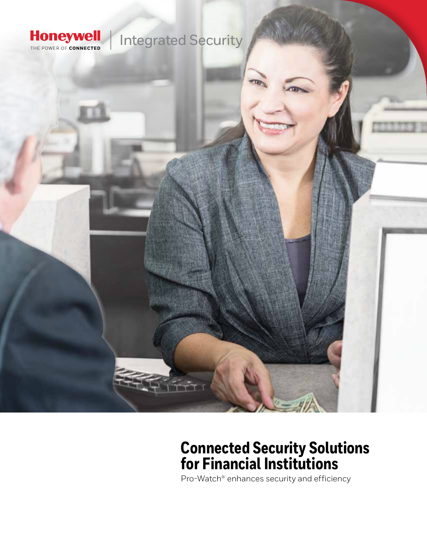

## **Connected Security Solutions for Financial Institutions**

Pro-Watch® enhances security and efficiency